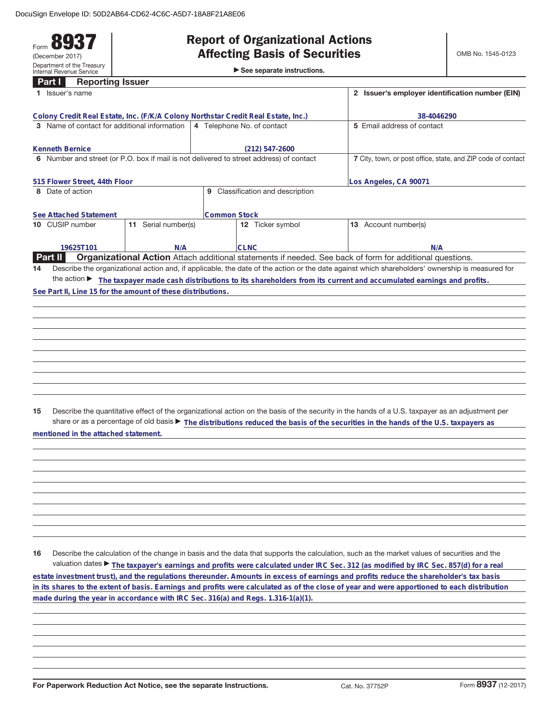## Form **8937** (December 2017) Department of the Treasury Internal Revenue Service

## **Report of Organizational Actions**

►<br>► See separate instructions.

| Part I                                                                                  | <b>Reporting Issuer</b> |                                                              |                                  |                                                                                                                                                 |
|-----------------------------------------------------------------------------------------|-------------------------|--------------------------------------------------------------|----------------------------------|-------------------------------------------------------------------------------------------------------------------------------------------------|
| 1 Issuer's name                                                                         |                         |                                                              |                                  | 2 Issuer's employer identification number (EIN)                                                                                                 |
| Colony Credit Real Estate, Inc. (F/K/A Colony Northstar Credit Real Estate, Inc.)       |                         |                                                              |                                  | 38-4046290                                                                                                                                      |
| 3 Name of contact for additional information                                            |                         |                                                              | 4 Telephone No. of contact       | 5 Email address of contact                                                                                                                      |
|                                                                                         |                         |                                                              |                                  |                                                                                                                                                 |
| <b>Kenneth Bernice</b>                                                                  |                         |                                                              | $(212) 547 - 2600$               |                                                                                                                                                 |
| 6 Number and street (or P.O. box if mail is not delivered to street address) of contact |                         | 7 City, town, or post office, state, and ZIP code of contact |                                  |                                                                                                                                                 |
|                                                                                         |                         |                                                              |                                  |                                                                                                                                                 |
| 515 Flower Street, 44th Floor                                                           |                         |                                                              |                                  | Los Angeles, CA 90071                                                                                                                           |
| 8 Date of action                                                                        |                         |                                                              | 9 Classification and description |                                                                                                                                                 |
|                                                                                         |                         |                                                              |                                  |                                                                                                                                                 |
| See Attached Statement                                                                  |                         | <b>Common Stock</b>                                          |                                  |                                                                                                                                                 |
| 10 CUSIP number                                                                         | 11 Serial number(s)     |                                                              | 12 Ticker symbol                 | 13 Account number(s)                                                                                                                            |
|                                                                                         |                         |                                                              |                                  |                                                                                                                                                 |
| 19625T101<br><b>Part II</b>                                                             | N/A                     |                                                              | <b>CLNC</b>                      | N/A<br>Organizational Action Attach additional statements if needed. See back of form for additional questions.                                 |
|                                                                                         |                         |                                                              |                                  |                                                                                                                                                 |
| 14                                                                                      |                         |                                                              |                                  | Describe the organizational action and, if applicable, the date of the action or the date against which shareholders' ownership is measured for |
| See Part II, Line 15 for the amount of these distributions.                             |                         |                                                              |                                  | the action The taxpayer made cash distributions to its shareholders from its current and accumulated earnings and profits.                      |
|                                                                                         |                         |                                                              |                                  |                                                                                                                                                 |
|                                                                                         |                         |                                                              |                                  |                                                                                                                                                 |
|                                                                                         |                         |                                                              |                                  |                                                                                                                                                 |
|                                                                                         |                         |                                                              |                                  |                                                                                                                                                 |
|                                                                                         |                         |                                                              |                                  |                                                                                                                                                 |
|                                                                                         |                         |                                                              |                                  |                                                                                                                                                 |
|                                                                                         |                         |                                                              |                                  |                                                                                                                                                 |
|                                                                                         |                         |                                                              |                                  |                                                                                                                                                 |
|                                                                                         |                         |                                                              |                                  |                                                                                                                                                 |
|                                                                                         |                         |                                                              |                                  |                                                                                                                                                 |
|                                                                                         |                         |                                                              |                                  |                                                                                                                                                 |
| 15                                                                                      |                         |                                                              |                                  | Describe the quantitative effect of the organizational action on the basis of the security in the hands of a U.S. taxpayer as an adjustment per |
|                                                                                         |                         |                                                              |                                  | share or as a percentage of old basis > The distributions reduced the basis of the securities in the hands of the U.S. taxpayers as             |
| mentioned in the attached statement.                                                    |                         |                                                              |                                  |                                                                                                                                                 |
|                                                                                         |                         |                                                              |                                  |                                                                                                                                                 |
|                                                                                         |                         |                                                              |                                  |                                                                                                                                                 |
|                                                                                         |                         |                                                              |                                  |                                                                                                                                                 |
|                                                                                         |                         |                                                              |                                  |                                                                                                                                                 |
|                                                                                         |                         |                                                              |                                  |                                                                                                                                                 |
|                                                                                         |                         |                                                              |                                  |                                                                                                                                                 |
|                                                                                         |                         |                                                              |                                  |                                                                                                                                                 |
|                                                                                         |                         |                                                              |                                  |                                                                                                                                                 |
|                                                                                         |                         |                                                              |                                  |                                                                                                                                                 |
|                                                                                         |                         |                                                              |                                  |                                                                                                                                                 |
| 16                                                                                      |                         |                                                              |                                  | Describe the calculation of the change in basis and the data that supports the calculation, such as the market values of securities and the     |
|                                                                                         |                         |                                                              |                                  | valuation dates ▶ The taxpayer's earnings and profits were calculated under IRC Sec. 312 (as modified by IRC Sec. 857(d) for a real             |
|                                                                                         |                         |                                                              |                                  | estate investment trust), and the regulations thereunder. Amounts in excess of earnings and profits reduce the shareholder's tax basis          |
|                                                                                         |                         |                                                              |                                  | in its shares to the extent of basis. Earnings and profits were calculated as of the close of year and were apportioned to each distribution    |
|                                                                                         |                         |                                                              |                                  |                                                                                                                                                 |
| made during the year in accordance with IRC Sec. 316(a) and Regs. 1.316-1(a)(1).        |                         |                                                              |                                  |                                                                                                                                                 |
|                                                                                         |                         |                                                              |                                  |                                                                                                                                                 |
|                                                                                         |                         |                                                              |                                  |                                                                                                                                                 |
|                                                                                         |                         |                                                              |                                  |                                                                                                                                                 |
|                                                                                         |                         |                                                              |                                  |                                                                                                                                                 |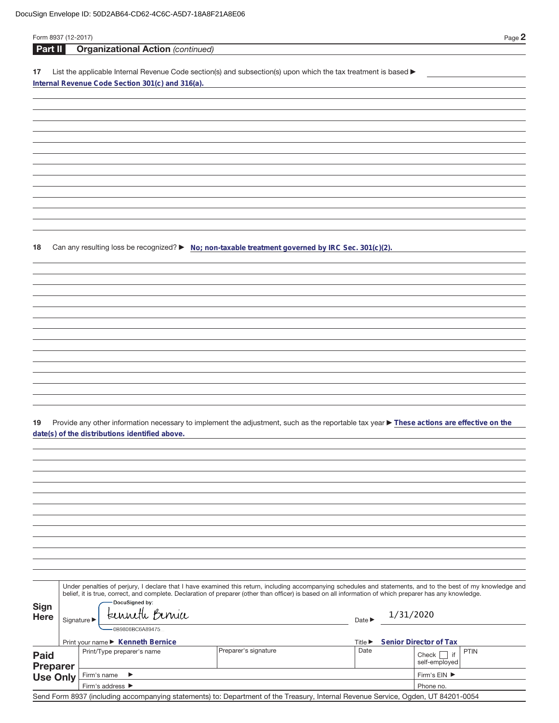| Form 8937 (12-2017)                |                                 |                                                  |                                                                                                                                                                                                                                                                                                                          |                             |           | Page 2                                         |  |
|------------------------------------|---------------------------------|--------------------------------------------------|--------------------------------------------------------------------------------------------------------------------------------------------------------------------------------------------------------------------------------------------------------------------------------------------------------------------------|-----------------------------|-----------|------------------------------------------------|--|
| <b>Part II</b>                     |                                 | <b>Organizational Action (continued)</b>         |                                                                                                                                                                                                                                                                                                                          |                             |           |                                                |  |
| 17                                 |                                 |                                                  | List the applicable Internal Revenue Code section(s) and subsection(s) upon which the tax treatment is based >                                                                                                                                                                                                           |                             |           |                                                |  |
|                                    |                                 | Internal Revenue Code Section 301(c) and 316(a). |                                                                                                                                                                                                                                                                                                                          |                             |           |                                                |  |
|                                    |                                 |                                                  |                                                                                                                                                                                                                                                                                                                          |                             |           |                                                |  |
|                                    |                                 |                                                  |                                                                                                                                                                                                                                                                                                                          |                             |           |                                                |  |
|                                    |                                 |                                                  |                                                                                                                                                                                                                                                                                                                          |                             |           |                                                |  |
|                                    |                                 |                                                  |                                                                                                                                                                                                                                                                                                                          |                             |           |                                                |  |
|                                    |                                 |                                                  |                                                                                                                                                                                                                                                                                                                          |                             |           |                                                |  |
|                                    |                                 |                                                  |                                                                                                                                                                                                                                                                                                                          |                             |           |                                                |  |
|                                    |                                 |                                                  |                                                                                                                                                                                                                                                                                                                          |                             |           |                                                |  |
|                                    |                                 |                                                  |                                                                                                                                                                                                                                                                                                                          |                             |           |                                                |  |
|                                    |                                 |                                                  |                                                                                                                                                                                                                                                                                                                          |                             |           |                                                |  |
|                                    |                                 |                                                  |                                                                                                                                                                                                                                                                                                                          |                             |           |                                                |  |
|                                    |                                 |                                                  |                                                                                                                                                                                                                                                                                                                          |                             |           |                                                |  |
|                                    |                                 |                                                  |                                                                                                                                                                                                                                                                                                                          |                             |           |                                                |  |
| 18                                 |                                 |                                                  | Can any resulting loss be recognized? $\blacktriangleright$ No; non-taxable treatment governed by IRC Sec. 301(c)(2).                                                                                                                                                                                                    |                             |           |                                                |  |
|                                    |                                 |                                                  |                                                                                                                                                                                                                                                                                                                          |                             |           |                                                |  |
|                                    |                                 |                                                  |                                                                                                                                                                                                                                                                                                                          |                             |           |                                                |  |
|                                    |                                 |                                                  |                                                                                                                                                                                                                                                                                                                          |                             |           |                                                |  |
|                                    |                                 |                                                  |                                                                                                                                                                                                                                                                                                                          |                             |           |                                                |  |
|                                    |                                 |                                                  |                                                                                                                                                                                                                                                                                                                          |                             |           |                                                |  |
|                                    |                                 |                                                  |                                                                                                                                                                                                                                                                                                                          |                             |           |                                                |  |
|                                    |                                 |                                                  |                                                                                                                                                                                                                                                                                                                          |                             |           |                                                |  |
|                                    |                                 |                                                  |                                                                                                                                                                                                                                                                                                                          |                             |           |                                                |  |
|                                    |                                 |                                                  |                                                                                                                                                                                                                                                                                                                          |                             |           |                                                |  |
|                                    |                                 |                                                  |                                                                                                                                                                                                                                                                                                                          |                             |           |                                                |  |
|                                    |                                 |                                                  |                                                                                                                                                                                                                                                                                                                          |                             |           |                                                |  |
|                                    |                                 |                                                  |                                                                                                                                                                                                                                                                                                                          |                             |           |                                                |  |
| 19                                 |                                 |                                                  | Provide any other information necessary to implement the adjustment, such as the reportable tax year ▶ These actions are effective on the                                                                                                                                                                                |                             |           |                                                |  |
|                                    |                                 | date(s) of the distributions identified above.   |                                                                                                                                                                                                                                                                                                                          |                             |           |                                                |  |
|                                    |                                 |                                                  |                                                                                                                                                                                                                                                                                                                          |                             |           |                                                |  |
|                                    |                                 |                                                  |                                                                                                                                                                                                                                                                                                                          |                             |           |                                                |  |
|                                    |                                 |                                                  |                                                                                                                                                                                                                                                                                                                          |                             |           |                                                |  |
|                                    |                                 |                                                  |                                                                                                                                                                                                                                                                                                                          |                             |           |                                                |  |
|                                    |                                 |                                                  |                                                                                                                                                                                                                                                                                                                          |                             |           |                                                |  |
|                                    |                                 |                                                  |                                                                                                                                                                                                                                                                                                                          |                             |           |                                                |  |
|                                    |                                 |                                                  |                                                                                                                                                                                                                                                                                                                          |                             |           |                                                |  |
|                                    |                                 |                                                  |                                                                                                                                                                                                                                                                                                                          |                             |           |                                                |  |
|                                    |                                 |                                                  |                                                                                                                                                                                                                                                                                                                          |                             |           |                                                |  |
|                                    |                                 |                                                  |                                                                                                                                                                                                                                                                                                                          |                             |           |                                                |  |
|                                    |                                 |                                                  |                                                                                                                                                                                                                                                                                                                          |                             |           |                                                |  |
|                                    |                                 |                                                  | Under penalties of perjury, I declare that I have examined this return, including accompanying schedules and statements, and to the best of my knowledge and<br>belief, it is true, correct, and complete. Declaration of preparer (other than officer) is based on all information of which preparer has any knowledge. |                             |           |                                                |  |
| <b>Sign</b>                        |                                 | -DocuSigned by:                                  |                                                                                                                                                                                                                                                                                                                          |                             |           |                                                |  |
| Here                               | Signature $\blacktriangleright$ | tenneth Benia                                    |                                                                                                                                                                                                                                                                                                                          | Date $\blacktriangleright$  | 1/31/2020 |                                                |  |
|                                    |                                 | 0B9806BC6A89475                                  |                                                                                                                                                                                                                                                                                                                          |                             |           |                                                |  |
|                                    |                                 | Print your name ▶ Kenneth Bernice                |                                                                                                                                                                                                                                                                                                                          | Title $\blacktriangleright$ |           | Senior Director of Tax                         |  |
| <b>Paid</b>                        |                                 | Print/Type preparer's name                       | Preparer's signature                                                                                                                                                                                                                                                                                                     | Date                        |           | <b>PTIN</b><br>$Check$     if<br>self-employed |  |
| <b>Preparer</b><br><b>Use Only</b> |                                 | Firm's name<br>▶                                 |                                                                                                                                                                                                                                                                                                                          |                             |           | Firm's EIN ▶                                   |  |
|                                    |                                 | Firm's address ▶                                 |                                                                                                                                                                                                                                                                                                                          |                             |           | Phone no.                                      |  |

Send Form 8937 (including accompanying statements) to: Department of the Treasury, Internal Revenue Service, Ogden, UT 84201-0054